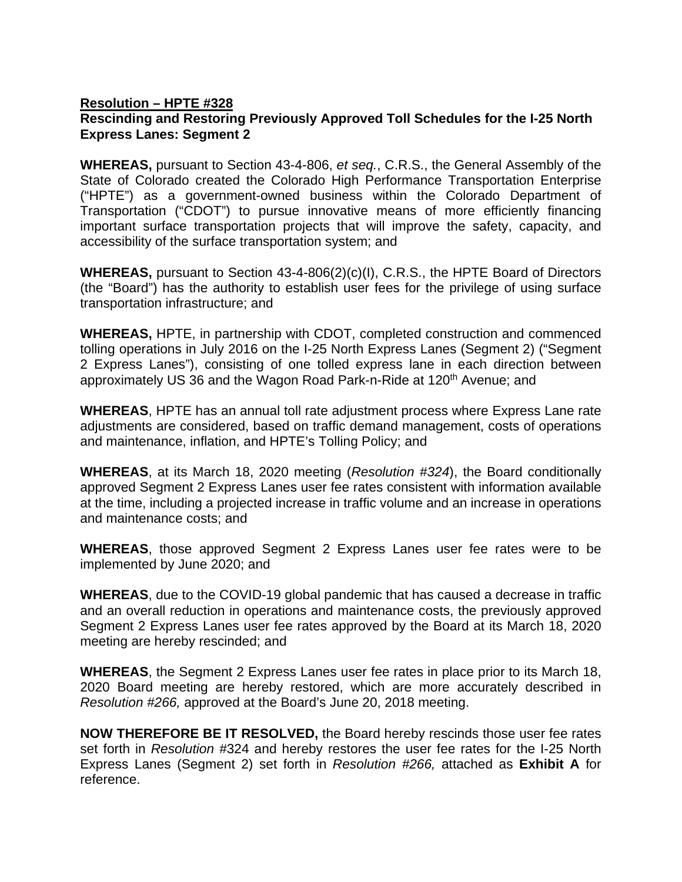## **Resolution – HPTE #328 Rescinding and Restoring Previously Approved Toll Schedules for the I-25 North Express Lanes: Segment 2**

**WHEREAS,** pursuant to Section 43-4-806, *et seq.*, C.R.S., the General Assembly of the State of Colorado created the Colorado High Performance Transportation Enterprise ("HPTE") as a government-owned business within the Colorado Department of Transportation ("CDOT") to pursue innovative means of more efficiently financing important surface transportation projects that will improve the safety, capacity, and accessibility of the surface transportation system; and

**WHEREAS,** pursuant to Section 43-4-806(2)(c)(I), C.R.S., the HPTE Board of Directors (the "Board") has the authority to establish user fees for the privilege of using surface transportation infrastructure; and

**WHEREAS,** HPTE, in partnership with CDOT, completed construction and commenced tolling operations in July 2016 on the I-25 North Express Lanes (Segment 2) ("Segment 2 Express Lanes"), consisting of one tolled express lane in each direction between approximately US 36 and the Wagon Road Park-n-Ride at 120<sup>th</sup> Avenue; and

**WHEREAS**, HPTE has an annual toll rate adjustment process where Express Lane rate adjustments are considered, based on traffic demand management, costs of operations and maintenance, inflation, and HPTE's Tolling Policy; and

**WHEREAS**, at its March 18, 2020 meeting (*Resolution #324*), the Board conditionally approved Segment 2 Express Lanes user fee rates consistent with information available at the time, including a projected increase in traffic volume and an increase in operations and maintenance costs; and

**WHEREAS**, those approved Segment 2 Express Lanes user fee rates were to be implemented by June 2020; and

**WHEREAS**, due to the COVID-19 global pandemic that has caused a decrease in traffic and an overall reduction in operations and maintenance costs, the previously approved Segment 2 Express Lanes user fee rates approved by the Board at its March 18, 2020 meeting are hereby rescinded; and

**WHEREAS**, the Segment 2 Express Lanes user fee rates in place prior to its March 18, 2020 Board meeting are hereby restored, which are more accurately described in *Resolution #266,* approved at the Board's June 20, 2018 meeting.

**NOW THEREFORE BE IT RESOLVED,** the Board hereby rescinds those user fee rates set forth in *Resolution #*324 and hereby restores the user fee rates for the I-25 North Express Lanes (Segment 2) set forth in *Resolution #266,* attached as **Exhibit A** for reference.